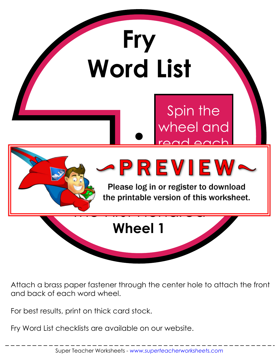

Attach a brass paper fastener through the center hole to attach the front and back of each word wheel.

For best results, print on thick card stock.

Fry Word List checklists are available on our website.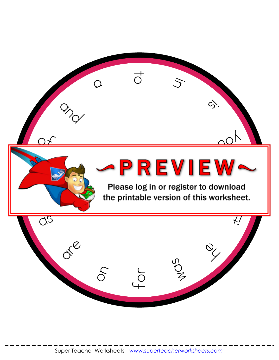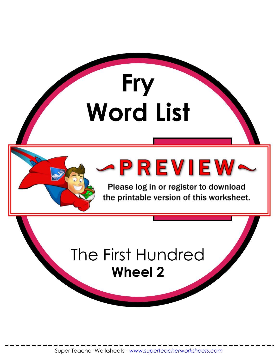

Please log in or register to download the printable version of this worksheet.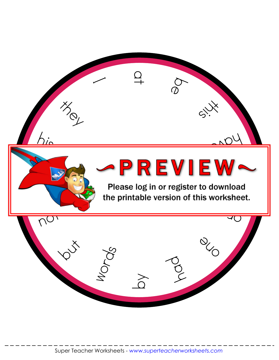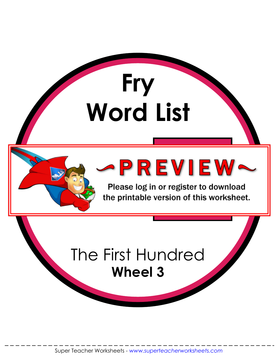

Please log in or register to download the printable version of this worksheet.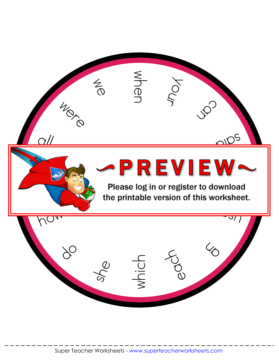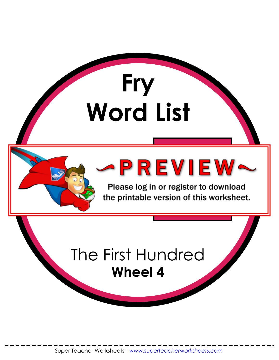

Please log in or register to download the printable version of this worksheet.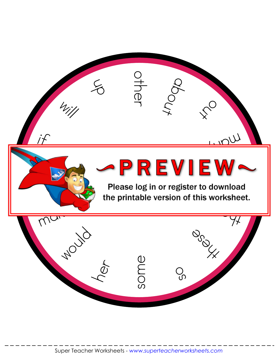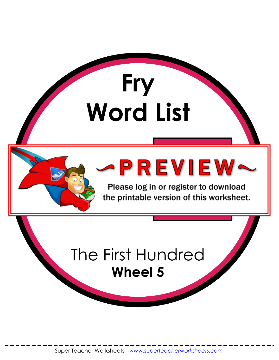

Please log in or register to download the printable version of this worksheet.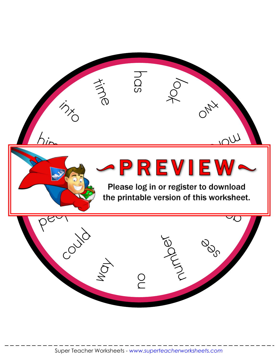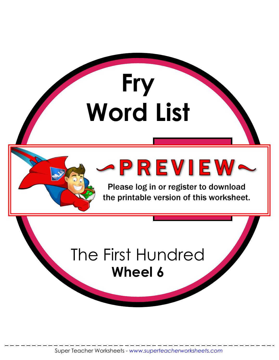

Please log in or register to download the printable version of this worksheet.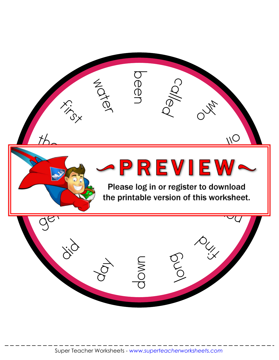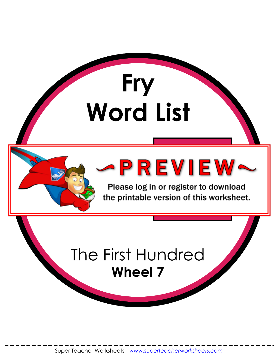

Please log in or register to download the printable version of this worksheet.